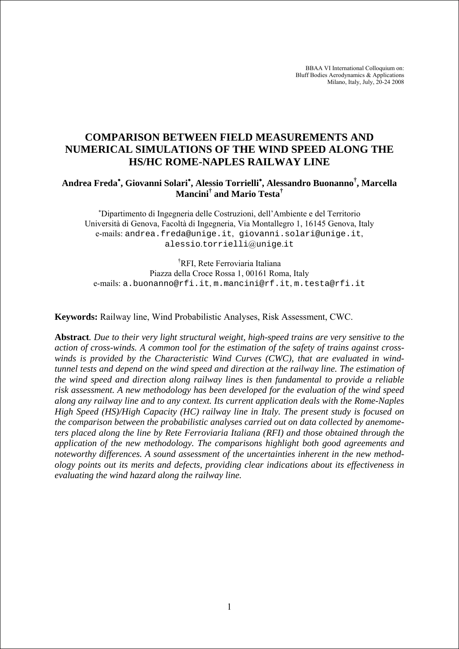BBAA VI International Colloquium on: Bluff Bodies Aerodynamics & Applications Milano, Italy, July, 20-24 2008

# **COMPARISON BETWEEN FIELD MEASUREMENTS AND NUMERICAL SIMULATIONS OF THE WIND SPEED ALONG THE HS/HC ROME-NAPLES RAILWAY LINE**

## **Andrea Freda**<sup>∗</sup> **, Giovanni Solari**<sup>∗</sup> **, Alessio Torrielli**<sup>∗</sup> **, Alessandro Buonanno† , Marcella Mancini† and Mario Testa†**

∗ Dipartimento di Ingegneria delle Costruzioni, dell'Ambiente e del Territorio Università di Genova, Facoltà di Ingegneria, Via Montallegro 1, 16145 Genova, Italy e-mails: andrea.freda@unige.it, giovanni.solari@unige.it, alessio.torrielli@unige.it

† RFI, Rete Ferroviaria Italiana Piazza della Croce Rossa 1, 00161 Roma, Italy e-mails: a.buonanno@rfi.it, m.mancini@rf.it, m.testa@rfi.it

**Keywords:** Railway line, Wind Probabilistic Analyses, Risk Assessment, CWC.

**Abstract***. Due to their very light structural weight, high-speed trains are very sensitive to the action of cross-winds. A common tool for the estimation of the safety of trains against crosswinds is provided by the Characteristic Wind Curves (CWC), that are evaluated in windtunnel tests and depend on the wind speed and direction at the railway line. The estimation of the wind speed and direction along railway lines is then fundamental to provide a reliable risk assessment. A new methodology has been developed for the evaluation of the wind speed along any railway line and to any context. Its current application deals with the Rome-Naples High Speed (HS)/High Capacity (HC) railway line in Italy. The present study is focused on the comparison between the probabilistic analyses carried out on data collected by anemometers placed along the line by Rete Ferroviaria Italiana (RFI) and those obtained through the application of the new methodology. The comparisons highlight both good agreements and noteworthy differences. A sound assessment of the uncertainties inherent in the new methodology points out its merits and defects, providing clear indications about its effectiveness in evaluating the wind hazard along the railway line.*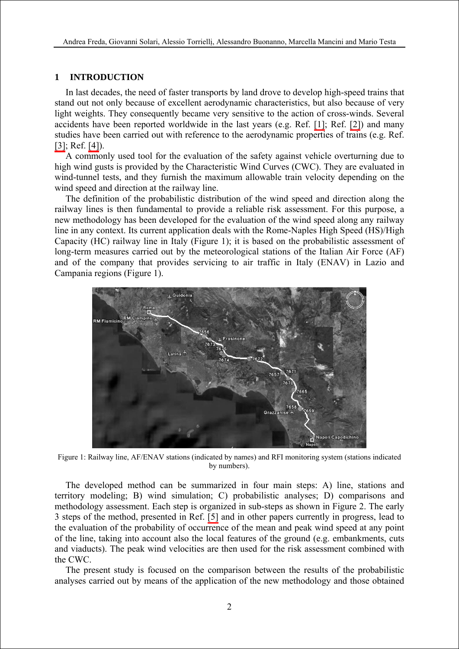### **1 INTRODUCTION**

In last decades, the need of faster transports by land drove to develop high-speed trains that stand out not only because of excellent aerodynamic characteristics, but also because of very light weights. They consequently became very sensitive to the action of cross-winds. Several accidents have been reported worldwide in the last years (e.g. Ref. [\[1\]](#page-11-0); Ref. [\[2\]\)](#page-11-0) and many studies have been carried out with reference to the aerodynamic properties of trains (e.g. Ref. [\[3\];](#page-11-0) Ref. [\[4\]\)](#page-11-0).

A commonly used tool for the evaluation of the safety against vehicle overturning due to high wind gusts is provided by the Characteristic Wind Curves (CWC). They are evaluated in wind-tunnel tests, and they furnish the maximum allowable train velocity depending on the wind speed and direction at the railway line.

The definition of the probabilistic distribution of the wind speed and direction along the railway lines is then fundamental to provide a reliable risk assessment. For this purpose, a new methodology has been developed for the evaluation of the wind speed along any railway line in any context. Its current application deals with the Rome-Naples High Speed (HS)/High Capacity (HC) railway line in Italy (Figure 1); it is based on the probabilistic assessment of long-term measures carried out by the meteorological stations of the Italian Air Force (AF) and of the company that provides servicing to air traffic in Italy (ENAV) in Lazio and Campania regions (Figure 1).



Figure 1: Railway line, AF/ENAV stations (indicated by names) and RFI monitoring system (stations indicated by numbers).

The developed method can be summarized in four main steps: A) line, stations and territory modeling; B) wind simulation; C) probabilistic analyses; D) comparisons and methodology assessment. Each step is organized in sub-steps as shown in Figure 2. The early 3 steps of the method, presented in Ref. [\[5\]](#page-11-0) and in other papers currently in progress, lead to the evaluation of the probability of occurrence of the mean and peak wind speed at any point of the line, taking into account also the local features of the ground (e.g. embankments, cuts and viaducts). The peak wind velocities are then used for the risk assessment combined with the CWC.

The present study is focused on the comparison between the results of the probabilistic analyses carried out by means of the application of the new methodology and those obtained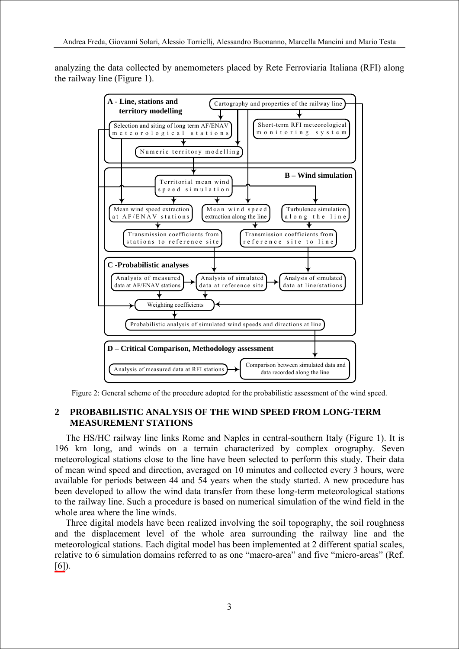analyzing the data collected by anemometers placed by Rete Ferroviaria Italiana (RFI) along the railway line (Figure 1).



Figure 2: General scheme of the procedure adopted for the probabilistic assessment of the wind speed.

# **2 PROBABILISTIC ANALYSIS OF THE WIND SPEED FROM LONG-TERM MEASUREMENT STATIONS**

The HS/HC railway line links Rome and Naples in central-southern Italy (Figure 1). It is 196 km long, and winds on a terrain characterized by complex orography. Seven meteorological stations close to the line have been selected to perform this study. Their data of mean wind speed and direction, averaged on 10 minutes and collected every 3 hours, were available for periods between 44 and 54 years when the study started. A new procedure has been developed to allow the wind data transfer from these long-term meteorological stations to the railway line. Such a procedure is based on numerical simulation of the wind field in the whole area where the line winds.

Three digital models have been realized involving the soil topography, the soil roughness and the displacement level of the whole area surrounding the railway line and the meteorological stations. Each digital model has been implemented at 2 different spatial scales, relative to 6 simulation domains referred to as one "macro-area" and five "micro-areas" (Ref.  $[6]$ ).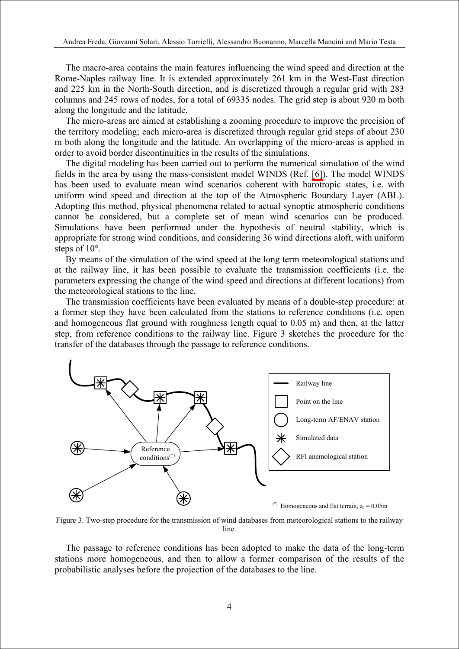The macro-area contains the main features influencing the wind speed and direction at the Rome-Naples railway line. It is extended approximately 261 km in the West-East direction and 225 km in the North-South direction, and is discretized through a regular grid with 283 columns and 245 rows of nodes, for a total of 69335 nodes. The grid step is about 920 m both along the longitude and the latitude.

The micro-areas are aimed at establishing a zooming procedure to improve the precision of the territory modeling; each micro-area is discretized through regular grid steps of about 230 m both along the longitude and the latitude. An overlapping of the micro-areas is applied in order to avoid border discontinuities in the results of the simulations.

The digital modeling has been carried out to perform the numerical simulation of the wind fields in the area by using the mass-consistent model WINDS (Ref. [\[6\]\)](#page-11-0). The model WINDS has been used to evaluate mean wind scenarios coherent with barotropic states, i.e. with uniform wind speed and direction at the top of the Atmospheric Boundary Layer (ABL). Adopting this method, physical phenomena related to actual synoptic atmospheric conditions cannot be considered, but a complete set of mean wind scenarios can be produced. Simulations have been performed under the hypothesis of neutral stability, which is appropriate for strong wind conditions, and considering 36 wind directions aloft, with uniform steps of  $10^{\circ}$ .

By means of the simulation of the wind speed at the long term meteorological stations and at the railway line, it has been possible to evaluate the transmission coefficients (i.e. the parameters expressing the change of the wind speed and directions at different locations) from the meteorological stations to the line.

The transmission coefficients have been evaluated by means of a double-step procedure: at a former step they have been calculated from the stations to reference conditions (i.e. open and homogeneous flat ground with roughness length equal to 0.05 m) and then, at the latter step, from reference conditions to the railway line. Figure 3 sketches the procedure for the transfer of the databases through the passage to reference conditions.



Figure 3. Two-step procedure for the transmission of wind databases from meteorological stations to the railway line.

The passage to reference conditions has been adopted to make the data of the long-term stations more homogeneous, and then to allow a former comparison of the results of the probabilistic analyses before the projection of the databases to the line.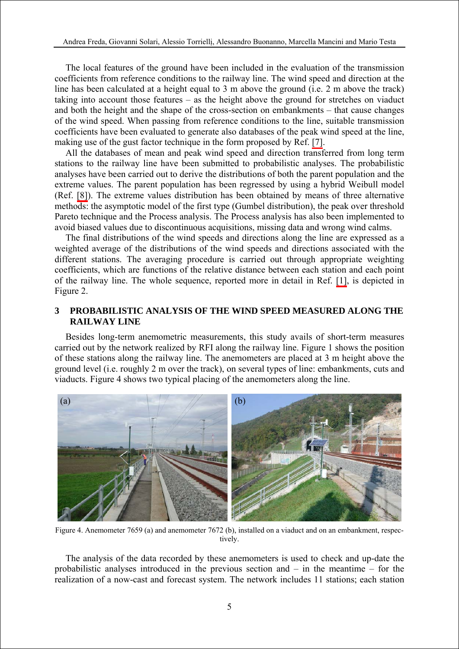The local features of the ground have been included in the evaluation of the transmission coefficients from reference conditions to the railway line. The wind speed and direction at the line has been calculated at a height equal to 3 m above the ground (i.e. 2 m above the track) taking into account those features – as the height above the ground for stretches on viaduct and both the height and the shape of the cross-section on embankments – that cause changes of the wind speed. When passing from reference conditions to the line, suitable transmission coefficients have been evaluated to generate also databases of the peak wind speed at the line, making use of the gust factor technique in the form proposed by Ref. [\[7\].](#page-11-0)

All the databases of mean and peak wind speed and direction transferred from long term stations to the railway line have been submitted to probabilistic analyses. The probabilistic analyses have been carried out to derive the distributions of both the parent population and the extreme values. The parent population has been regressed by using a hybrid Weibull model (Ref. [\[8\]\)](#page-11-0). The extreme values distribution has been obtained by means of three alternative methods: the asymptotic model of the first type (Gumbel distribution), the peak over threshold Pareto technique and the Process analysis. The Process analysis has also been implemented to avoid biased values due to discontinuous acquisitions, missing data and wrong wind calms.

The final distributions of the wind speeds and directions along the line are expressed as a weighted average of the distributions of the wind speeds and directions associated with the different stations. The averaging procedure is carried out through appropriate weighting coefficients, which are functions of the relative distance between each station and each point of the railway line. The whole sequence, reported more in detail in Ref. [\[1\],](#page-11-0) is depicted in Figure 2.

### **3 PROBABILISTIC ANALYSIS OF THE WIND SPEED MEASURED ALONG THE RAILWAY LINE**

Besides long-term anemometric measurements, this study avails of short-term measures carried out by the network realized by RFI along the railway line. Figure 1 shows the position of these stations along the railway line. The anemometers are placed at 3 m height above the ground level (i.e. roughly 2 m over the track), on several types of line: embankments, cuts and viaducts. Figure 4 shows two typical placing of the anemometers along the line.



Figure 4. Anemometer 7659 (a) and anemometer 7672 (b), installed on a viaduct and on an embankment, respectively.

The analysis of the data recorded by these anemometers is used to check and up-date the probabilistic analyses introduced in the previous section and – in the meantime – for the realization of a now-cast and forecast system. The network includes 11 stations; each station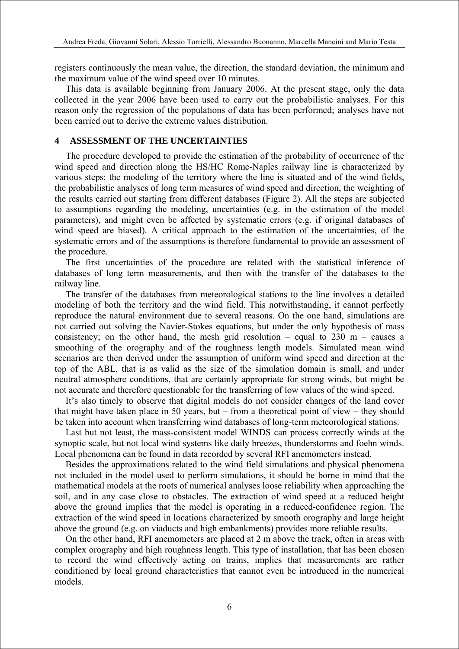registers continuously the mean value, the direction, the standard deviation, the minimum and the maximum value of the wind speed over 10 minutes.

This data is available beginning from January 2006. At the present stage, only the data collected in the year 2006 have been used to carry out the probabilistic analyses. For this reason only the regression of the populations of data has been performed; analyses have not been carried out to derive the extreme values distribution.

#### **4 ASSESSMENT OF THE UNCERTAINTIES**

The procedure developed to provide the estimation of the probability of occurrence of the wind speed and direction along the HS/HC Rome-Naples railway line is characterized by various steps: the modeling of the territory where the line is situated and of the wind fields, the probabilistic analyses of long term measures of wind speed and direction, the weighting of the results carried out starting from different databases (Figure 2). All the steps are subjected to assumptions regarding the modeling, uncertainties (e.g. in the estimation of the model parameters), and might even be affected by systematic errors (e.g. if original databases of wind speed are biased). A critical approach to the estimation of the uncertainties, of the systematic errors and of the assumptions is therefore fundamental to provide an assessment of the procedure.

The first uncertainties of the procedure are related with the statistical inference of databases of long term measurements, and then with the transfer of the databases to the railway line.

The transfer of the databases from meteorological stations to the line involves a detailed modeling of both the territory and the wind field. This notwithstanding, it cannot perfectly reproduce the natural environment due to several reasons. On the one hand, simulations are not carried out solving the Navier-Stokes equations, but under the only hypothesis of mass consistency; on the other hand, the mesh grid resolution – equal to  $230 \text{ m}$  – causes a smoothing of the orography and of the roughness length models. Simulated mean wind scenarios are then derived under the assumption of uniform wind speed and direction at the top of the ABL, that is as valid as the size of the simulation domain is small, and under neutral atmosphere conditions, that are certainly appropriate for strong winds, but might be not accurate and therefore questionable for the transferring of low values of the wind speed.

It's also timely to observe that digital models do not consider changes of the land cover that might have taken place in 50 years, but – from a theoretical point of view – they should be taken into account when transferring wind databases of long-term meteorological stations.

Last but not least, the mass-consistent model WINDS can process correctly winds at the synoptic scale, but not local wind systems like daily breezes, thunderstorms and foehn winds. Local phenomena can be found in data recorded by several RFI anemometers instead.

Besides the approximations related to the wind field simulations and physical phenomena not included in the model used to perform simulations, it should be borne in mind that the mathematical models at the roots of numerical analyses loose reliability when approaching the soil, and in any case close to obstacles. The extraction of wind speed at a reduced height above the ground implies that the model is operating in a reduced-confidence region. The extraction of the wind speed in locations characterized by smooth orography and large height above the ground (e.g. on viaducts and high embankments) provides more reliable results.

On the other hand, RFI anemometers are placed at 2 m above the track, often in areas with complex orography and high roughness length. This type of installation, that has been chosen to record the wind effectively acting on trains, implies that measurements are rather conditioned by local ground characteristics that cannot even be introduced in the numerical models.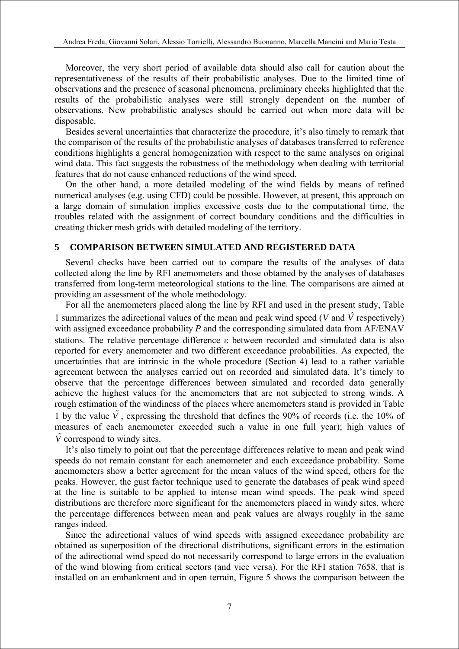Moreover, the very short period of available data should also call for caution about the representativeness of the results of their probabilistic analyses. Due to the limited time of observations and the presence of seasonal phenomena, preliminary checks highlighted that the results of the probabilistic analyses were still strongly dependent on the number of observations. New probabilistic analyses should be carried out when more data will be disposable.

Besides several uncertainties that characterize the procedure, it's also timely to remark that the comparison of the results of the probabilistic analyses of databases transferred to reference conditions highlights a general homogenization with respect to the same analyses on original wind data. This fact suggests the robustness of the methodology when dealing with territorial features that do not cause enhanced reductions of the wind speed.

On the other hand, a more detailed modeling of the wind fields by means of refined numerical analyses (e.g. using CFD) could be possible. However, at present, this approach on a large domain of simulation implies excessive costs due to the computational time, the troubles related with the assignment of correct boundary conditions and the difficulties in creating thicker mesh grids with detailed modeling of the territory.

#### **5 COMPARISON BETWEEN SIMULATED AND REGISTERED DATA**

Several checks have been carried out to compare the results of the analyses of data collected along the line by RFI anemometers and those obtained by the analyses of databases transferred from long-term meteorological stations to the line. The comparisons are aimed at providing an assessment of the whole methodology.

For all the anemometers placed along the line by RFI and used in the present study, Table 1 summarizes the adirectional values of the mean and peak wind speed ( $\overline{V}$  and  $\hat{V}$  respectively) with assigned exceedance probability P and the corresponding simulated data from AF/ENAV stations. The relative percentage difference ε between recorded and simulated data is also reported for every anemometer and two different exceedance probabilities. As expected, the uncertainties that are intrinsic in the whole procedure (Section 4) lead to a rather variable agreement between the analyses carried out on recorded and simulated data. It's timely to observe that the percentage differences between simulated and recorded data generally achieve the highest values for the anemometers that are not subjected to strong winds. A rough estimation of the windiness of the places where anemometers stand is provided in Table 1 by the value  $\tilde{V}$ , expressing the threshold that defines the 90% of records (i.e. the 10% of measures of each anemometer exceeded such a value in one full year); high values of  $\hat{V}$  correspond to windy sites.

It's also timely to point out that the percentage differences relative to mean and peak wind speeds do not remain constant for each anemometer and each exceedance probability. Some anemometers show a better agreement for the mean values of the wind speed, others for the peaks. However, the gust factor technique used to generate the databases of peak wind speed at the line is suitable to be applied to intense mean wind speeds. The peak wind speed distributions are therefore more significant for the anemometers placed in windy sites, where the percentage differences between mean and peak values are always roughly in the same ranges indeed.

Since the adirectional values of wind speeds with assigned exceedance probability are obtained as superposition of the directional distributions, significant errors in the estimation of the adirectional wind speed do not necessarily correspond to large errors in the evaluation of the wind blowing from critical sectors (and vice versa). For the RFI station 7658, that is installed on an embankment and in open terrain, Figure 5 shows the comparison between the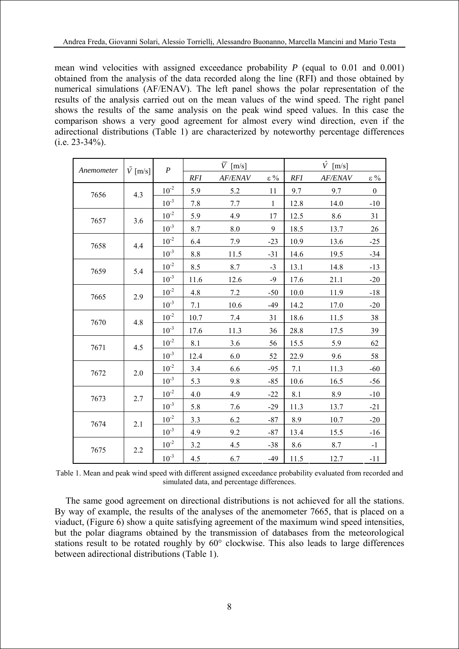mean wind velocities with assigned exceedance probability *P* (equal to 0.01 and 0.001) obtained from the analysis of the data recorded along the line (RFI) and those obtained by numerical simulations (AF/ENAV). The left panel shows the polar representation of the results of the analysis carried out on the mean values of the wind speed. The right panel shows the results of the same analysis on the peak wind speed values. In this case the comparison shows a very good agreement for almost every wind direction, even if the adirectional distributions (Table 1) are characterized by noteworthy percentage differences (i.e. 23-34%).

| Anemometer | $\tilde{V}$ [m/s] | $\boldsymbol{P}$ | $\overline{V}$ [m/s] |         |              | $\hat{V}$ [m/s] |         |                  |
|------------|-------------------|------------------|----------------------|---------|--------------|-----------------|---------|------------------|
|            |                   |                  | RFI                  | AF/ENAV | $\epsilon$ % | RFI             | AF/ENAV | $\epsilon$ %     |
| 7656       | 4.3               | $10^{-2}$        | 5.9                  | 5.2     | 11           | 9.7             | 9.7     | $\boldsymbol{0}$ |
|            |                   | $10^{-3}$        | 7.8                  | 7.7     | $\mathbf{1}$ | 12.8            | 14.0    | $-10$            |
| 7657       | 3.6               | $10^{-2}$        | 5.9                  | 4.9     | 17           | 12.5            | 8.6     | 31               |
|            |                   | $10^{-3}$        | 8.7                  | 8.0     | 9            | 18.5            | 13.7    | 26               |
| 7658       | 4.4               | $10^{-2}$        | 6.4                  | 7.9     | $-23$        | 10.9            | 13.6    | $-25$            |
|            |                   | $10^{-3}$        | $8.8\,$              | 11.5    | $-31$        | 14.6            | 19.5    | $-34$            |
| 7659       | 5.4               | $10^{-2}$        | 8.5                  | 8.7     | $-3$         | 13.1            | 14.8    | $-13$            |
|            |                   | $10^{-3}$        | 11.6                 | 12.6    | $-9$         | 17.6            | 21.1    | $-20$            |
| 7665       | 2.9               | $10^{-2}$        | 4.8                  | 7.2     | $-50$        | 10.0            | 11.9    | $-18$            |
|            |                   | $10^{-3}$        | 7.1                  | 10.6    | $-49$        | 14.2            | 17.0    | $-20$            |
| 7670       | 4.8               | $10^{-2}$        | 10.7                 | 7.4     | 31           | 18.6            | 11.5    | 38               |
|            |                   | $10^{-3}$        | 17.6                 | 11.3    | 36           | 28.8            | 17.5    | 39               |
| 7671       | 4.5               | $10^{-2}$        | $8.1\,$              | 3.6     | 56           | 15.5            | 5.9     | 62               |
|            |                   | $10^{-3}$        | 12.4                 | 6.0     | 52           | 22.9            | 9.6     | 58               |
| 7672       | 2.0               | $10^{-2}$        | 3.4                  | 6.6     | $-95$        | $7.1\,$         | 11.3    | $-60$            |
|            |                   | $10^{-3}$        | 5.3                  | 9.8     | $-85$        | 10.6            | 16.5    | $-56$            |
| 7673       | 2.7               | $10^{-2}$        | 4.0                  | 4.9     | $-22$        | 8.1             | 8.9     | $-10$            |
|            |                   | $10^{-3}$        | 5.8                  | 7.6     | $-29$        | 11.3            | 13.7    | $-21$            |
| 7674       | 2.1               | $10^{-2}$        | 3.3                  | 6.2     | $-87$        | 8.9             | 10.7    | $-20$            |
|            |                   | $10^{-3}$        | 4.9                  | 9.2     | $-87$        | 13.4            | 15.5    | $-16$            |
| 7675       | 2.2               | $10^{-2}$        | $3.2\,$              | 4.5     | $-38$        | 8.6             | 8.7     | $-1$             |
|            |                   | $10^{-3}$        | 4.5                  | 6.7     | $-49$        | 11.5            | 12.7    | $-11$            |

Table 1. Mean and peak wind speed with different assigned exceedance probability evaluated from recorded and simulated data, and percentage differences.

The same good agreement on directional distributions is not achieved for all the stations. By way of example, the results of the analyses of the anemometer 7665, that is placed on a viaduct, (Figure 6) show a quite satisfying agreement of the maximum wind speed intensities, but the polar diagrams obtained by the transmission of databases from the meteorological stations result to be rotated roughly by 60° clockwise. This also leads to large differences between adirectional distributions (Table 1).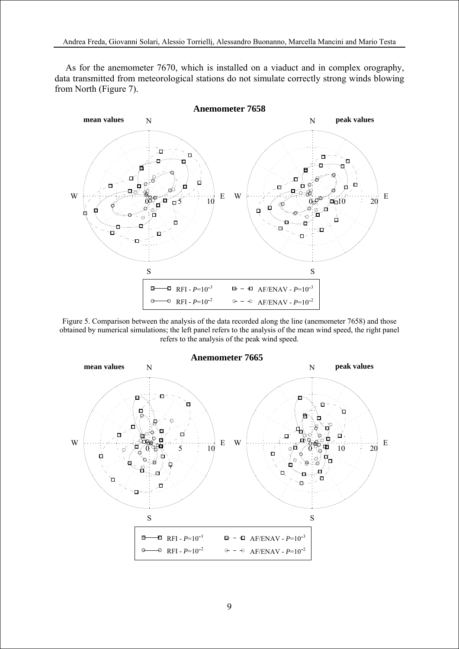As for the anemometer 7670, which is installed on a viaduct and in complex orography, data transmitted from meteorological stations do not simulate correctly strong winds blowing from North (Figure 7).



Figure 5. Comparison between the analysis of the data recorded along the line (anemometer 7658) and those obtained by numerical simulations; the left panel refers to the analysis of the mean wind speed, the right panel refers to the analysis of the peak wind speed.

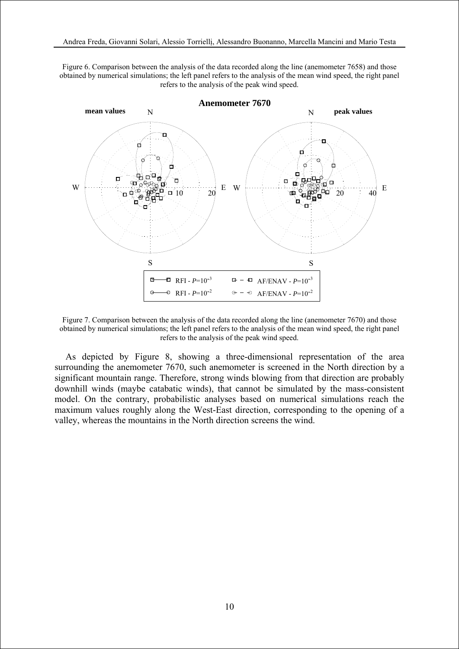Figure 6. Comparison between the analysis of the data recorded along the line (anemometer 7658) and those obtained by numerical simulations; the left panel refers to the analysis of the mean wind speed, the right panel refers to the analysis of the peak wind speed.



Figure 7. Comparison between the analysis of the data recorded along the line (anemometer 7670) and those obtained by numerical simulations; the left panel refers to the analysis of the mean wind speed, the right panel refers to the analysis of the peak wind speed.

As depicted by Figure 8, showing a three-dimensional representation of the area surrounding the anemometer 7670, such anemometer is screened in the North direction by a significant mountain range. Therefore, strong winds blowing from that direction are probably downhill winds (maybe catabatic winds), that cannot be simulated by the mass-consistent model. On the contrary, probabilistic analyses based on numerical simulations reach the maximum values roughly along the West-East direction, corresponding to the opening of a valley, whereas the mountains in the North direction screens the wind.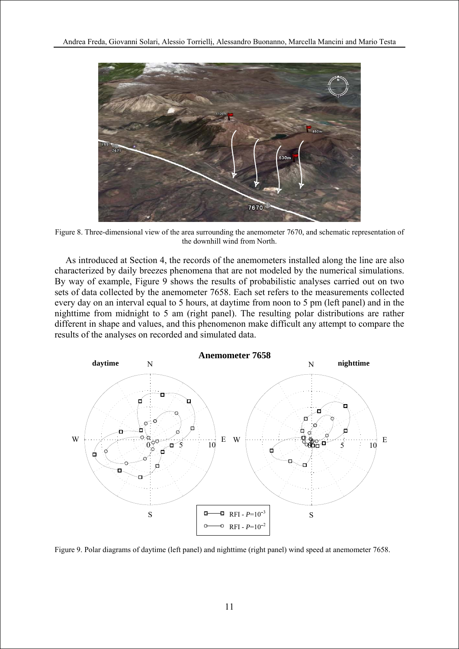

Figure 8. Three-dimensional view of the area surrounding the anemometer 7670, and schematic representation of the downhill wind from North.

As introduced at Section 4, the records of the anemometers installed along the line are also characterized by daily breezes phenomena that are not modeled by the numerical simulations. By way of example, Figure 9 shows the results of probabilistic analyses carried out on two sets of data collected by the anemometer 7658. Each set refers to the measurements collected every day on an interval equal to 5 hours, at daytime from noon to 5 pm (left panel) and in the nighttime from midnight to 5 am (right panel). The resulting polar distributions are rather different in shape and values, and this phenomenon make difficult any attempt to compare the results of the analyses on recorded and simulated data.



Figure 9. Polar diagrams of daytime (left panel) and nighttime (right panel) wind speed at anemometer 7658.